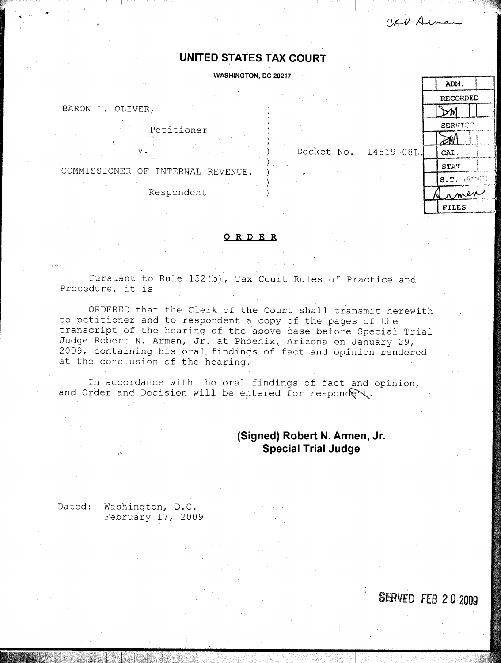CAN Armen

## UNITED STATES TAX COURT

**WASHINGTON, DC 20217** 

BARON L. OLIVER,

Petitioner

COMMISSIONER OF INTERNAL REVENUE,

**V .**

Respondent





A

## ORDER

Pursuant to Rule 152(b), Tax Court Rules of Practice and Procedure, it is

ORDERED that the Clerk of the Court shall transmit herewith to petitioner and to respondent a copy of the pages of the transcript of the hearing of the above case before Special Trial Judge Robert N. Armen, Jr. at Phoenix, Arizona on January 29, 2009, containing his oral findings of fact and opinion rendered at the conclusion of the hearing.

In accordance with the oral findings of fact and opinion, and Order and Decision will be entered for respondent.

## (**Signed**) **Robert N . Armen, Jr. Special Trial Judge**

Dated: Washington, D.C. February 17, **2009**

SERVED FEB 20 2009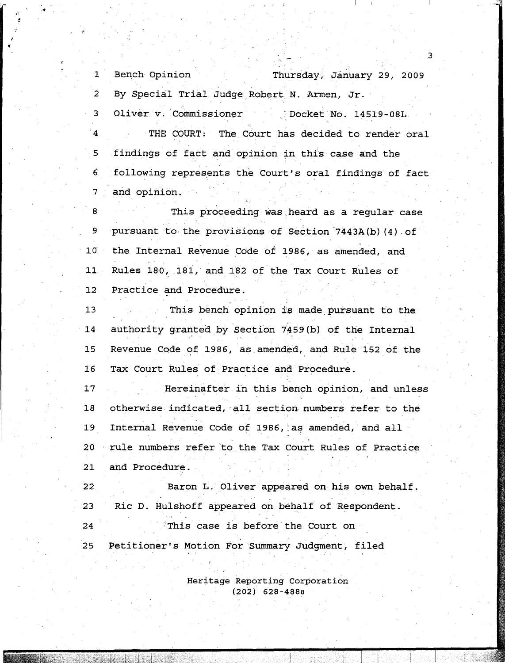1 Bench Opinion Thursday, January 29, 2009 2 By Special Trial Judge Robert N. Armen, Jr. 3 Oliver v. Commissioner (Docket No. 14519-08L  $4$ THE COURT: The Court has decided to render oral 5 findings of fact and opinion in this case and the 6 following represents the Court's oral findings of fact 7 and opinion .

8 This proceeding was heard as a regular case 9 pursuant to the provisions of Section 7443A(b)(4) of **10 the Internal Revenue Code of 1986, as amended, and** 11 Rules 180, 181, and 182 of the Tax Court Rules of **12 Practice and Procedure .**

**13 13** This bench opinion is made pursuant to the 14 authority granted by Section 7459(b) of the Internal **15 Revenue Code of 1986,** asamended, **and Rule 152 of the 16 Tax Court Rules of Practice and Procedure .**

**17 Hereinafter** in **this bench opinion, and unless** 18 otherwise indicated, all section numbers refer to the 19 Internal Revenue Code of 1986, as amended, and all 20 rule numbers refer to the Tax Court Rules of Practice **21 and Procedure .**

**22 Baron L**. **Oliver appeared on his own behalf . 23 Ric D** . **Hulshoff appeared on behalf of Respondent .**

**24 This case is` before the Court on** 25 Petitioner's Motion For Summary Judgment, filed

> **Heritage Reporting Corporation (202) 628-4888**

3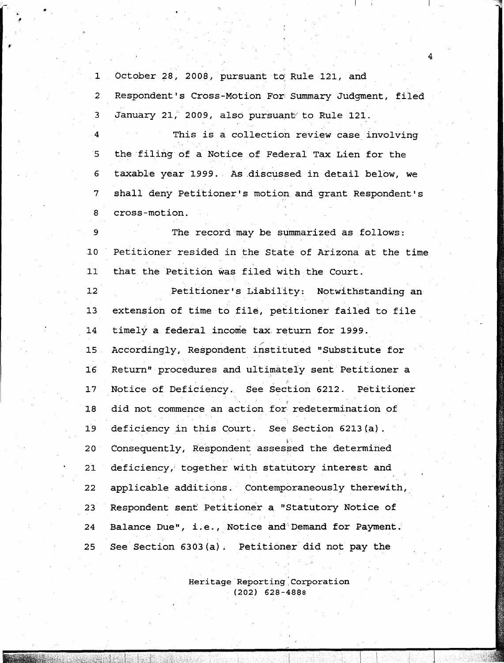1 October 28, **2008,** pursuant to Rule 121, and 2 Respondent's Cross-Motion For. Summary Judgment, filed 3 January 21, 2009, also pursuant to Rule 121. 4 This is a collection review case involving 5 the filing of a Notice of Federal Tax Lien for the 6 taxable year 1999. As discussed in detail below, we 7 shall deny Petitioner's motion and grant Respondent's 8 cross-motion . The record may be summarized as follows: 9 10 Petitioner resided in the State of Arizona at the time 11 that the Petition was filed with the Court. 12 Petitioner's Liability: Notwithstanding an 13 extension of time to file, petitioner failed to file 14 timely a federal income tax return for 1999. 15 Accordingly, Respondent instituted "Substitute for 16 Return" procedures and ultimately sent Petitioner a 17 Notice of Deficiency. See Section 6212. Petitioner 18 did not commence an action for redetermination of 19 deficiency in this Court. See Section 6213(a). 20 Consequently, Respondent **assessed** the determined 21 deficiency, together with statutory interest and 22 applicable additions. Contemporaneously therewith, 23 Respondent **sent** Petitioner a "Statutory Notice of **24** Balance **Due", i .e .,** Notice and 'Demand for Payment . 25 See Section 6303(a) . Petitioner did not pay the

4

Heritage Reporting, Corporation (202) 628-4888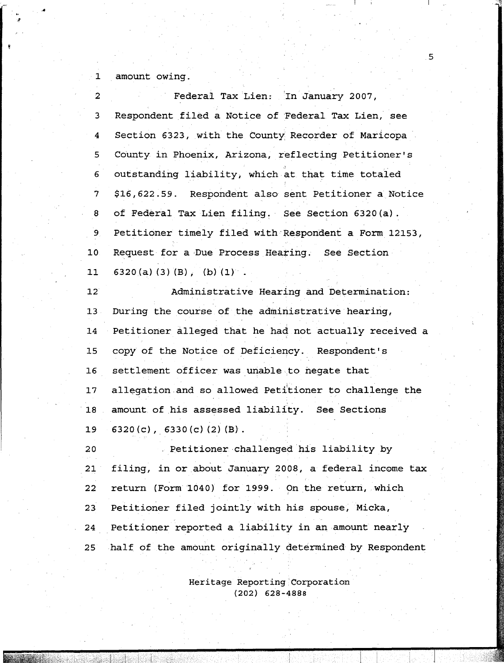1 amount owing .

| $\overline{2}$  | Federal Tax Lien: In January 2007,                     |
|-----------------|--------------------------------------------------------|
| 3               | Respondent filed a Notice of Federal Tax Lien, see     |
| 4               | Section 6323, with the County Recorder of Maricopa     |
| 5               | County in Phoenix, Arizona, reflecting Petitioner's    |
| 6               | outstanding liability, which at that time totaled      |
| $7\overline{ }$ | \$16,622.59. Respondent also sent Petitioner a Notice  |
| 8               | of Federal Tax Lien filing. See Section 6320(a).       |
| 9 <sub>1</sub>  | Petitioner timely filed with Respondent a Form 12153,  |
| 10 <sub>1</sub> | Request for a Due Process Hearing. See Section         |
| 11              | $6320(a)$ (3) (B), (b) (1).                            |
| $12^{\circ}$    | Administrative Hearing and Determination:              |
| 13 <sub>1</sub> | During the course of the administrative hearing,       |
| 14              | Petitioner alleged that he had not actually received a |
| 15              | copy of the Notice of Deficiency. Respondent's         |
| 16              | settlement officer was unable to negate that           |
| 17              | allegation and so allowed Petitioner to challenge the  |
| 18              | amount of his assessed liability. See Sections         |
| 19              | $6320(c)$ , $6330(c)$ (2) (B).                         |
| 20              | Petitioner challenged his liability by                 |
| 21              | filing, in or about January 2008, a federal income tax |
| 22              | return (Form 1040) for 1999. On the return, which      |
| 23              | Petitioner filed jointly with his spouse, Micka,       |
| 24              | Petitioner reported a liability in an amount nearly    |
| $25^{\circ}$    | half of the amount originally determined by Respondent |

 $5 \overline{5}$ 

Heritage Reporting ; Corporation **(202) 628-4888**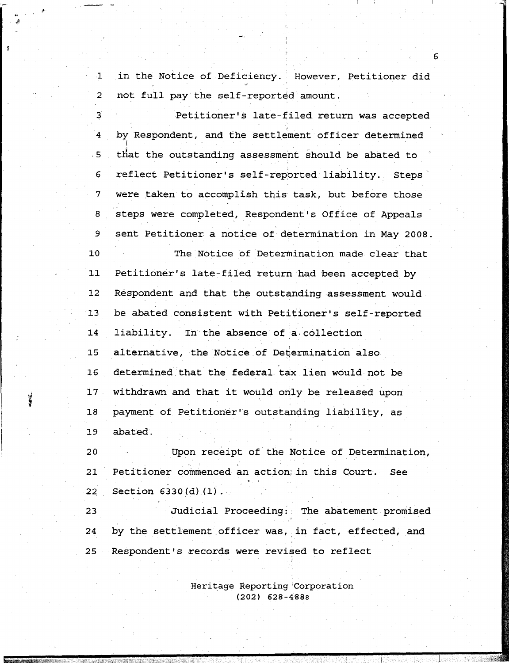$\mathbf{1}$ in the Notice of Deficiency . However, Petitioner did  $\overline{2}$ not full pay the self-reported amount .

3 Petitioner's late-filed return was accepted by Respondent, and the settlement officer determined 4  $.5$ that the outstanding **assessment** should be abated to 6 reflect Petitioner's self-reported liability. Steps 7 were taken to accomplish this task, but before those steps were completed, Respondent's Office of Appeals 8 sent Petitioner a notice of determination in May 2008 . 9 10 The Notice of Determination made clear that 11 Petitioner's late-filed return had been accepted by 12 Respondent and that the outstanding-assessment would 13 be abated consistent with Petitioner's self-reported 14 liability. In the absence of a collection 15 alternative, the Notice of Determination also 16 determined that the federal tax lien would not be 17 withdrawn and that it would only be released upon 18 payment of Petitioner's outstanding liability, as 19 abated .

20 Upon receipt of the Notice of . Determination, 21 Petitioner commenced an action; in this Court. See 22 Section 6330(d) (1).

23 Judicial Proceeding : The abatement promised 24 by the settlement officer was, in fact, effected, and 25 Respondent's records were revised to reflect

> Heritage Reporting` Corporation (202) 628-4888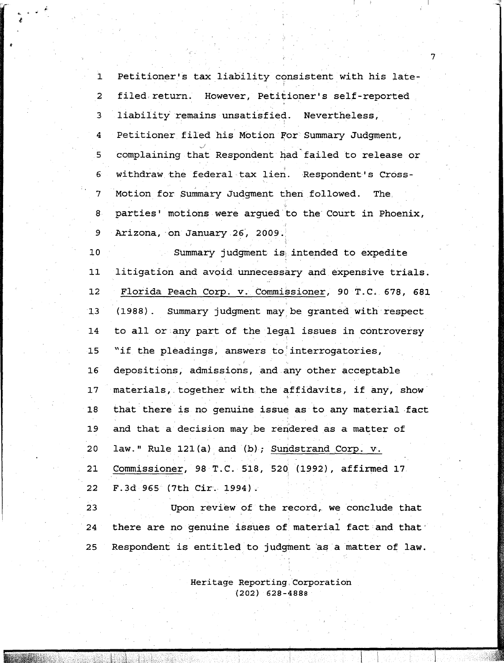1 Petitioner's tax liability consistent with his late-2 filed return. However, Petitioner's self-reported 3 liability remains unsatisfied. Nevertheless, 4 Petitioner filed his Motion For Summary Judgment, complaining that Respondent had failed to release or 5.  $6<sup>1</sup>$ withdraw the federal tax lien. Respondent's Cross-7 Motion for Summary Judgment then followed. The, 8 parties' motions were argued to the Court in Phoenix, 9 Arizona,-on-January-26, **2009 . <sup>1</sup>**

10 Summary judgment is intended to expedite 11 litigation and avoid unnecessary and expensive trials . 12 Florida Peach Corp. v. Commissioner, 90 T.C. 678, 681 13 (1988) . Summary judgment may be granted with respect 14 to all or any part of the legal issues in controversy 15 "if the pleadings, answers to interrogatories, 16 depositions, admissions, and any other acceptable 17 materials, together with the affidavits, if any, show 18 that there is no genuine issue as to any material fact 19 and that a decision may be rendered as a matter of 20 law." Rule 121(a) and (b); Sundstrand Corp. v. 21 Commissioner , 98 T .C . 518, 52 **<sup>0</sup>'** (1992), affirmed 17 22 F.3d 965<sup>6</sup> (7th Cir. 1994).

23 Upon review of the record, we conclude that 24 there are no genuine issues of material fact and that 25 Respondent is entitled to judgment as a matter of law.

> Heritage Reporting, Corporation **(202) 628-4888**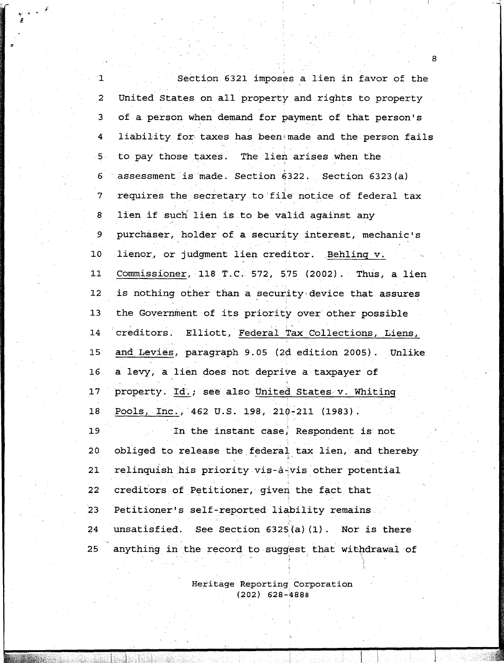Section 6321 imposes a lien in favor of the 2 United States on all property and rights to property. 3 of a person when demand for payment of that person' s 4 liability for taxes has been made and the person fails 5 to pay those taxes. The lien arises when the assessment is made. Section 6322. Section 6323(a) 6 7 requires the secretary to'file notice of federal tax 8 lien if such lien is to be valid against any purchaser, holder of a security interest, mechanic's 9 **10 lienor** , **or judgment lien creditor . Behlinq** v .- 11 **Commissioner** , **118 T** . **C .572, 575** ( **2002** ) . Thus, a lien 12 is nothing other than a security device that assures 13 the Government of its priority over other possible 14 creditors. Elliott, Federal Tax Collections, Liens, 15 and Levies, paragraph 9.05 (2d edition 2005). Unlike 16 a levy, alien does not deprive a taxpayer of 17 property. Id.; see also United States v. Whiting 18 Pools, Inc., 462 U.S. 198, 210-211 (1983). 19 In the'instant **case ;** Respondent is not 20 obliged to release the federal tax lien, and thereby 21 relinquish his priority vis-à-vis other potential 22 creditors of Petitioner, given the fact that 23 Petitioner's self-reported liability **remains** 24 unsatisfied. See Section 6325(a)(1). Nor is there 25 anything in the record to suggest that withdrawal of

> Heritage Reporting Corporation **(202) 628-4888**

 $\mathbb{Z}_{\mathbb{C}}$  ,  $\mathbb{Z}_{\mathbb{C}}$ 

**8**